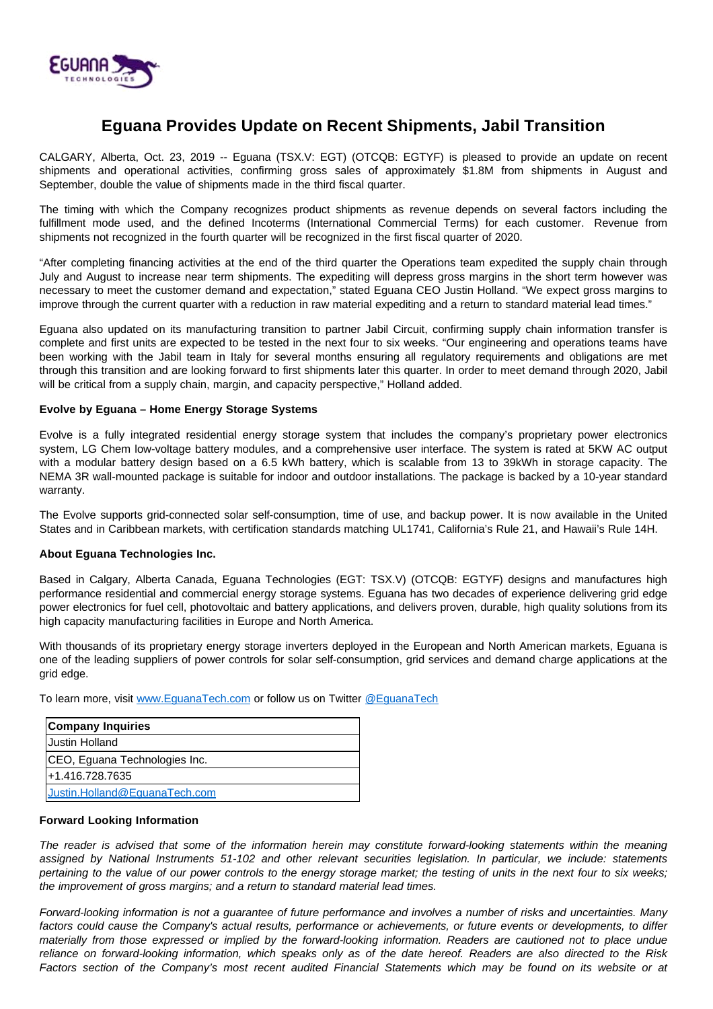

## **Eguana Provides Update on Recent Shipments, Jabil Transition**

CALGARY, Alberta, Oct. 23, 2019 -- Eguana (TSX.V: EGT) (OTCQB: EGTYF) is pleased to provide an update on recent shipments and operational activities, confirming gross sales of approximately \$1.8M from shipments in August and September, double the value of shipments made in the third fiscal quarter.

The timing with which the Company recognizes product shipments as revenue depends on several factors including the fulfillment mode used, and the defined Incoterms (International Commercial Terms) for each customer. Revenue from shipments not recognized in the fourth quarter will be recognized in the first fiscal quarter of 2020.

"After completing financing activities at the end of the third quarter the Operations team expedited the supply chain through July and August to increase near term shipments. The expediting will depress gross margins in the short term however was necessary to meet the customer demand and expectation," stated Eguana CEO Justin Holland. "We expect gross margins to improve through the current quarter with a reduction in raw material expediting and a return to standard material lead times."

Eguana also updated on its manufacturing transition to partner Jabil Circuit, confirming supply chain information transfer is complete and first units are expected to be tested in the next four to six weeks. "Our engineering and operations teams have been working with the Jabil team in Italy for several months ensuring all regulatory requirements and obligations are met through this transition and are looking forward to first shipments later this quarter. In order to meet demand through 2020, Jabil will be critical from a supply chain, margin, and capacity perspective," Holland added.

## **Evolve by Eguana – Home Energy Storage Systems**

Evolve is a fully integrated residential energy storage system that includes the company's proprietary power electronics system, LG Chem low-voltage battery modules, and a comprehensive user interface. The system is rated at 5KW AC output with a modular battery design based on a 6.5 kWh battery, which is scalable from 13 to 39kWh in storage capacity. The NEMA 3R wall-mounted package is suitable for indoor and outdoor installations. The package is backed by a 10-year standard warranty.

The Evolve supports grid-connected solar self-consumption, time of use, and backup power. It is now available in the United States and in Caribbean markets, with certification standards matching UL1741, California's Rule 21, and Hawaii's Rule 14H.

## **About Eguana Technologies Inc.**

Based in Calgary, Alberta Canada, Eguana Technologies (EGT: TSX.V) (OTCQB: EGTYF) designs and manufactures high performance residential and commercial energy storage systems. Eguana has two decades of experience delivering grid edge power electronics for fuel cell, photovoltaic and battery applications, and delivers proven, durable, high quality solutions from its high capacity manufacturing facilities in Europe and North America.

With thousands of its proprietary energy storage inverters deployed in the European and North American markets, Eguana is one of the leading suppliers of power controls for solar self-consumption, grid services and demand charge applications at the grid edge.

To learn more, visit [www.EguanaTech.com](http://www.eguanatech.com/) or follow us on Twitter [@EguanaTech](https://twitter.com/EguanaTech)

| <b>Company Inquiries</b>      |
|-------------------------------|
| Uustin Holland                |
| CEO, Eguana Technologies Inc. |
| l+1.416.728.7635              |
| Justin.Holland@EquanaTech.com |

## **Forward Looking Information**

The reader is advised that some of the information herein may constitute forward-looking statements within the meaning assigned by National Instruments 51-102 and other relevant securities legislation. In particular, we include: statements pertaining to the value of our power controls to the energy storage market; the testing of units in the next four to six weeks; the improvement of gross margins; and a return to standard material lead times.

Forward-looking information is not a guarantee of future performance and involves a number of risks and uncertainties. Many factors could cause the Company's actual results, performance or achievements, or future events or developments, to differ materially from those expressed or implied by the forward-looking information. Readers are cautioned not to place undue reliance on forward-looking information, which speaks only as of the date hereof. Readers are also directed to the Risk Factors section of the Company's most recent audited Financial Statements which may be found on its website or at